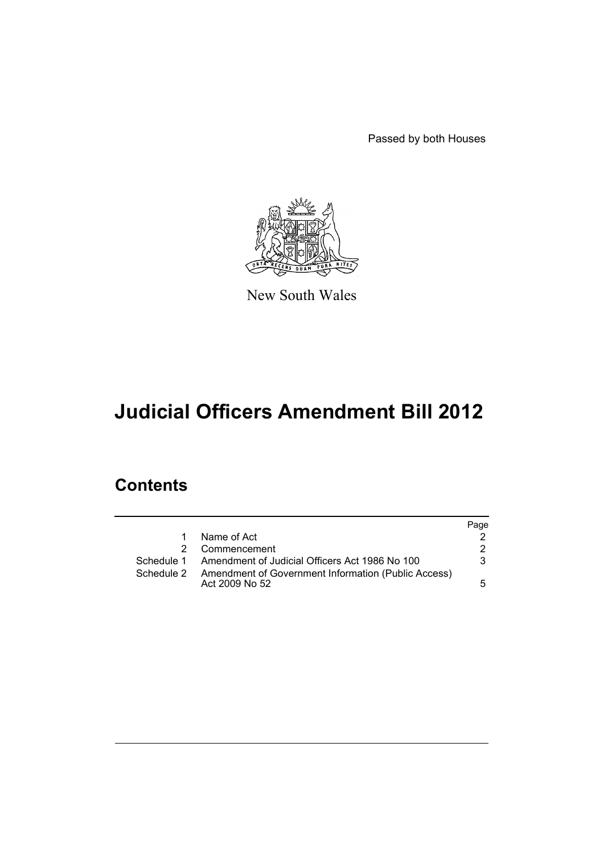Passed by both Houses



New South Wales

# **Judicial Officers Amendment Bill 2012**

## **Contents**

|             |                                                                       | Page |
|-------------|-----------------------------------------------------------------------|------|
| $\mathbf 1$ | Name of Act                                                           |      |
|             | Commencement                                                          | 2    |
|             | Schedule 1 Amendment of Judicial Officers Act 1986 No 100             | 3    |
| Schedule 2  | Amendment of Government Information (Public Access)<br>Act 2009 No 52 | 5.   |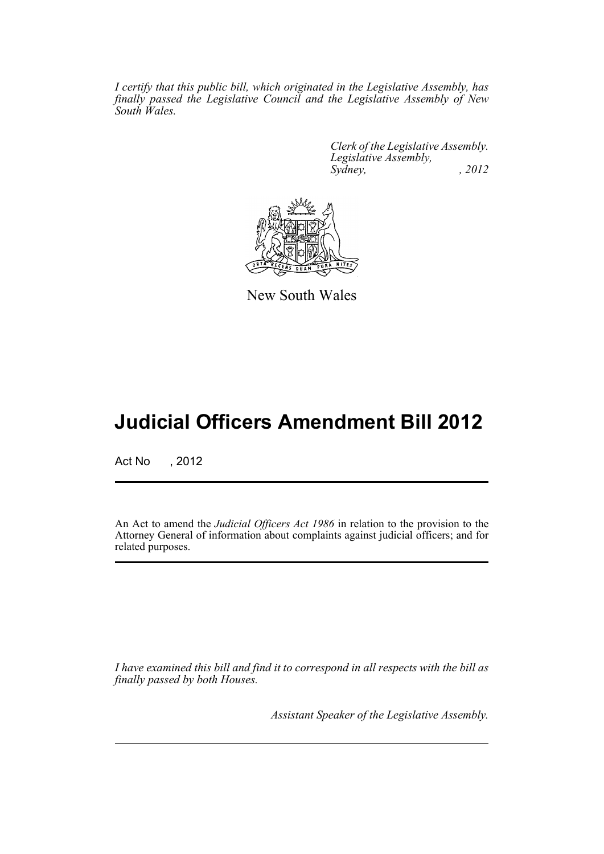*I certify that this public bill, which originated in the Legislative Assembly, has finally passed the Legislative Council and the Legislative Assembly of New South Wales.*

> *Clerk of the Legislative Assembly. Legislative Assembly, Sydney, , 2012*



New South Wales

## **Judicial Officers Amendment Bill 2012**

Act No , 2012

An Act to amend the *Judicial Officers Act 1986* in relation to the provision to the Attorney General of information about complaints against judicial officers; and for related purposes.

*I have examined this bill and find it to correspond in all respects with the bill as finally passed by both Houses.*

*Assistant Speaker of the Legislative Assembly.*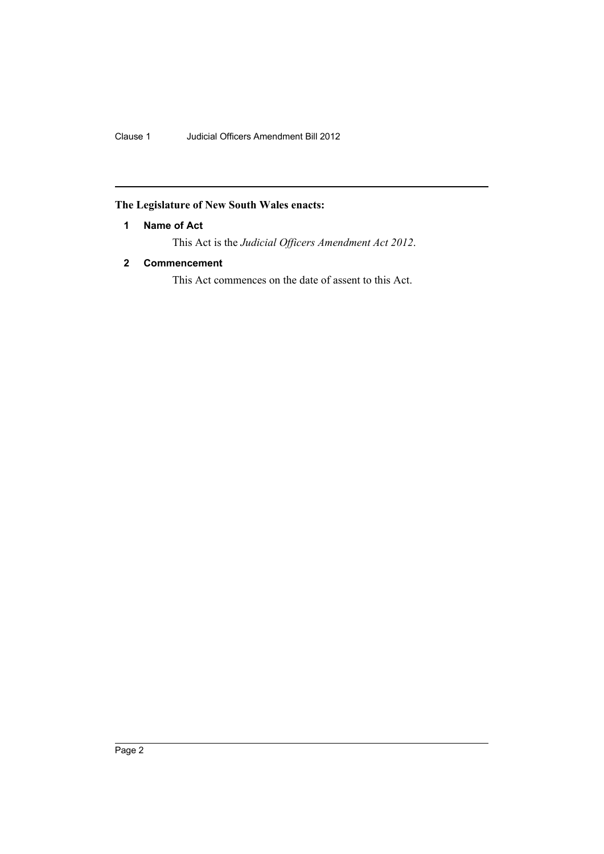Clause 1 Judicial Officers Amendment Bill 2012

### <span id="page-3-0"></span>**The Legislature of New South Wales enacts:**

#### **1 Name of Act**

This Act is the *Judicial Officers Amendment Act 2012*.

#### <span id="page-3-1"></span>**2 Commencement**

This Act commences on the date of assent to this Act.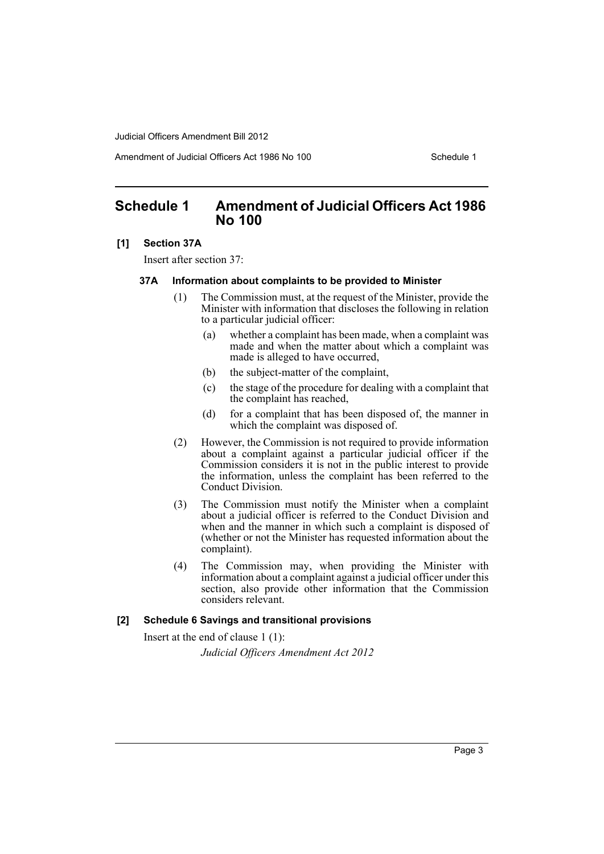Judicial Officers Amendment Bill 2012

Amendment of Judicial Officers Act 1986 No 100 Schedule 1

## <span id="page-4-0"></span>**Schedule 1 Amendment of Judicial Officers Act 1986 No 100**

#### **[1] Section 37A**

Insert after section 37:

#### **37A Information about complaints to be provided to Minister**

- (1) The Commission must, at the request of the Minister, provide the Minister with information that discloses the following in relation to a particular judicial officer:
	- (a) whether a complaint has been made, when a complaint was made and when the matter about which a complaint was made is alleged to have occurred,
	- (b) the subject-matter of the complaint,
	- (c) the stage of the procedure for dealing with a complaint that the complaint has reached,
	- (d) for a complaint that has been disposed of, the manner in which the complaint was disposed of.
- (2) However, the Commission is not required to provide information about a complaint against a particular judicial officer if the Commission considers it is not in the public interest to provide the information, unless the complaint has been referred to the Conduct Division.
- (3) The Commission must notify the Minister when a complaint about a judicial officer is referred to the Conduct Division and when and the manner in which such a complaint is disposed of (whether or not the Minister has requested information about the complaint).
- (4) The Commission may, when providing the Minister with information about a complaint against a judicial officer under this section, also provide other information that the Commission considers relevant.

#### **[2] Schedule 6 Savings and transitional provisions**

Insert at the end of clause 1 (1): *Judicial Officers Amendment Act 2012*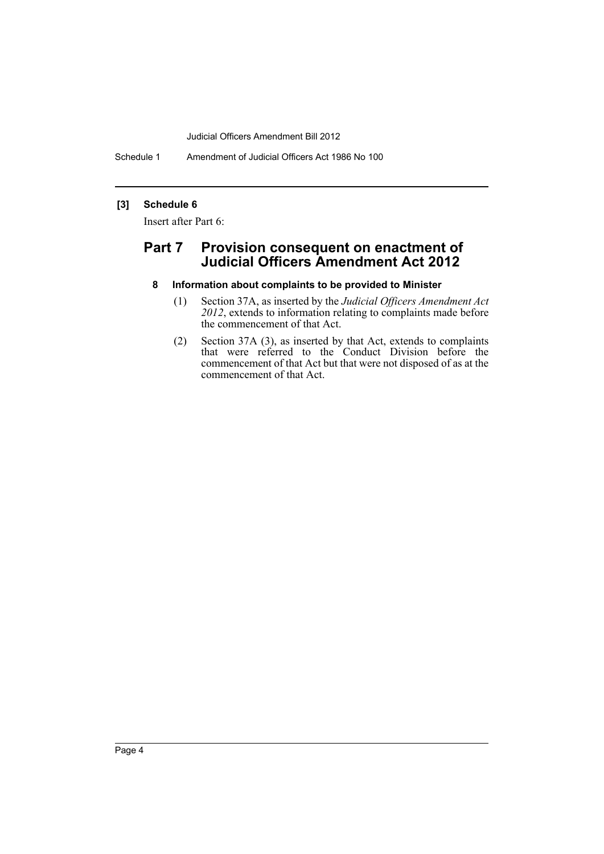Judicial Officers Amendment Bill 2012

Schedule 1 Amendment of Judicial Officers Act 1986 No 100

#### **[3] Schedule 6**

Insert after Part 6:

### **Part 7 Provision consequent on enactment of Judicial Officers Amendment Act 2012**

- **8 Information about complaints to be provided to Minister**
	- (1) Section 37A, as inserted by the *Judicial Officers Amendment Act 2012*, extends to information relating to complaints made before the commencement of that Act.
	- (2) Section 37A (3), as inserted by that Act, extends to complaints that were referred to the Conduct Division before the commencement of that Act but that were not disposed of as at the commencement of that Act.